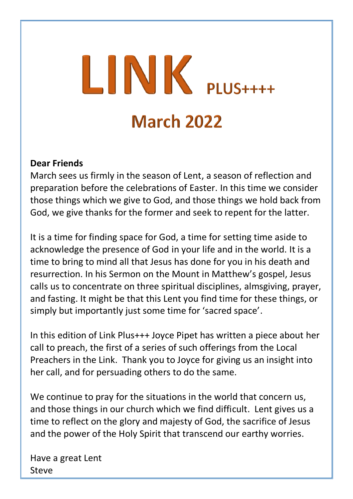# $LINK$  PLUS++++ **March 2022**

#### **Dear Friends**

March sees us firmly in the season of Lent, a season of reflection and preparation before the celebrations of Easter. In this time we consider those things which we give to God, and those things we hold back from God, we give thanks for the former and seek to repent for the latter.

It is a time for finding space for God, a time for setting time aside to acknowledge the presence of God in your life and in the world. It is a time to bring to mind all that Jesus has done for you in his death and resurrection. In his Sermon on the Mount in Matthew's gospel, Jesus calls us to concentrate on three spiritual disciplines, almsgiving, prayer, and fasting. It might be that this Lent you find time for these things, or simply but importantly just some time for 'sacred space'.

In this edition of Link Plus+++ Joyce Pipet has written a piece about her call to preach, the first of a series of such offerings from the Local Preachers in the Link. Thank you to Joyce for giving us an insight into her call, and for persuading others to do the same.

We continue to pray for the situations in the world that concern us, and those things in our church which we find difficult. Lent gives us a time to reflect on the glory and majesty of God, the sacrifice of Jesus and the power of the Holy Spirit that transcend our earthy worries.

Have a great Lent Steve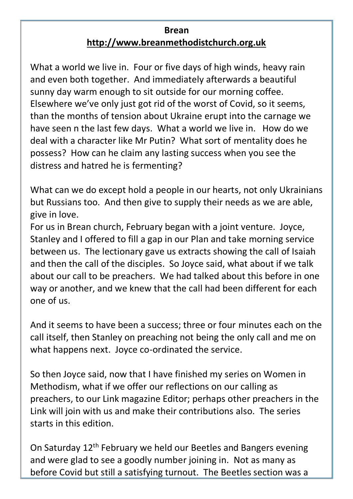#### **Brean [http://www.breanmethodistchurch.org.uk](http://www.breanmethodistchurch.org.uk/)**

What a world we live in. Four or five days of high winds, heavy rain and even both together. And immediately afterwards a beautiful sunny day warm enough to sit outside for our morning coffee. Elsewhere we've only just got rid of the worst of Covid, so it seems, than the months of tension about Ukraine erupt into the carnage we have seen n the last few days. What a world we live in. How do we deal with a character like Mr Putin? What sort of mentality does he possess? How can he claim any lasting success when you see the distress and hatred he is fermenting?

What can we do except hold a people in our hearts, not only Ukrainians but Russians too. And then give to supply their needs as we are able, give in love.

For us in Brean church, February began with a joint venture. Joyce, Stanley and I offered to fill a gap in our Plan and take morning service between us. The lectionary gave us extracts showing the call of Isaiah and then the call of the disciples. So Joyce said, what about if we talk about our call to be preachers. We had talked about this before in one way or another, and we knew that the call had been different for each one of us.

And it seems to have been a success; three or four minutes each on the call itself, then Stanley on preaching not being the only call and me on what happens next. Joyce co-ordinated the service.

So then Joyce said, now that I have finished my series on Women in Methodism, what if we offer our reflections on our calling as preachers, to our Link magazine Editor; perhaps other preachers in the Link will join with us and make their contributions also. The series starts in this edition.

On Saturday 12th February we held our Beetles and Bangers evening and were glad to see a goodly number joining in. Not as many as before Covid but still a satisfying turnout. The Beetles section was a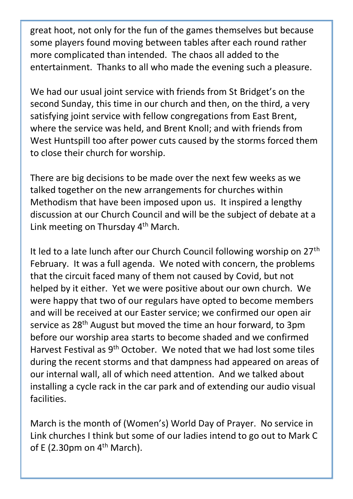great hoot, not only for the fun of the games themselves but because some players found moving between tables after each round rather more complicated than intended. The chaos all added to the entertainment. Thanks to all who made the evening such a pleasure.

We had our usual joint service with friends from St Bridget's on the second Sunday, this time in our church and then, on the third, a very satisfying joint service with fellow congregations from East Brent, where the service was held, and Brent Knoll; and with friends from West Huntspill too after power cuts caused by the storms forced them to close their church for worship.

There are big decisions to be made over the next few weeks as we talked together on the new arrangements for churches within Methodism that have been imposed upon us. It inspired a lengthy discussion at our Church Council and will be the subject of debate at a Link meeting on Thursday 4th March.

It led to a late lunch after our Church Council following worship on 27<sup>th</sup> February. It was a full agenda. We noted with concern, the problems that the circuit faced many of them not caused by Covid, but not helped by it either. Yet we were positive about our own church. We were happy that two of our regulars have opted to become members and will be received at our Easter service; we confirmed our open air service as 28<sup>th</sup> August but moved the time an hour forward, to 3pm before our worship area starts to become shaded and we confirmed Harvest Festival as 9th October. We noted that we had lost some tiles during the recent storms and that dampness had appeared on areas of our internal wall, all of which need attention. And we talked about installing a cycle rack in the car park and of extending our audio visual facilities.

March is the month of (Women's) World Day of Prayer. No service in Link churches I think but some of our ladies intend to go out to Mark C of E (2.30pm on  $4<sup>th</sup>$  March).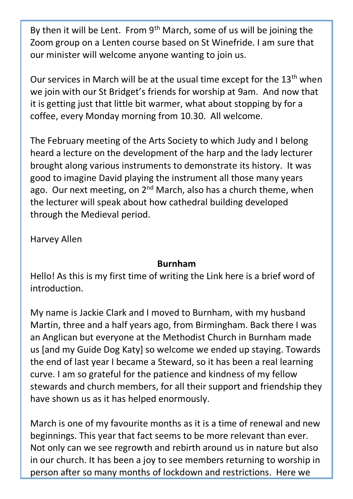By then it will be Lent. From  $9<sup>th</sup>$  March, some of us will be joining the Zoom group on a Lenten course based on St Winefride. I am sure that our minister will welcome anyone wanting to join us.

Our services in March will be at the usual time except for the 13<sup>th</sup> when we join with our St Bridget's friends for worship at 9am. And now that it is getting just that little bit warmer, what about stopping by for a coffee, every Monday morning from 10.30. All welcome.

The February meeting of the Arts Society to which Judy and I belong heard a lecture on the development of the harp and the lady lecturer brought along various instruments to demonstrate its history. It was good to imagine David playing the instrument all those many years ago. Our next meeting, on  $2^{nd}$  March, also has a church theme, when the lecturer will speak about how cathedral building developed through the Medieval period.

Harvey Allen

#### **Burnham**

Hello! As this is my first time of writing the Link here is a brief word of introduction.

My name is Jackie Clark and I moved to Burnham, with my husband Martin, three and a half years ago, from Birmingham. Back there I was an Anglican but everyone at the Methodist Church in Burnham made us [and my Guide Dog Katy] so welcome we ended up staying. Towards the end of last year I became a Steward, so it has been a real learning curve. I am so grateful for the patience and kindness of my fellow stewards and church members, for all their support and friendship they have shown us as it has helped enormously.

March is one of my favourite months as it is a time of renewal and new beginnings. This year that fact seems to be more relevant than ever. Not only can we see regrowth and rebirth around us in nature but also in our church. It has been a joy to see members returning to worship in person after so many months of lockdown and restrictions. Here we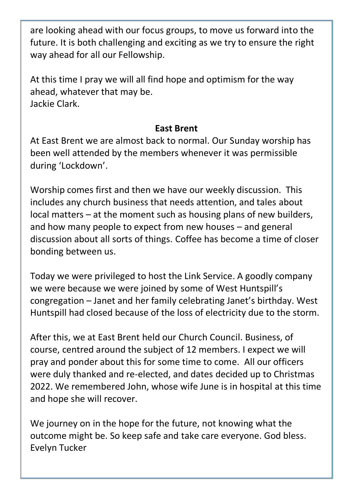are looking ahead with our focus groups, to move us forward into the future. It is both challenging and exciting as we try to ensure the right way ahead for all our Fellowship.

At this time I pray we will all find hope and optimism for the way ahead, whatever that may be. Jackie Clark.

#### **East Brent**

At East Brent we are almost back to normal. Our Sunday worship has been well attended by the members whenever it was permissible during 'Lockdown'.

Worship comes first and then we have our weekly discussion. This includes any church business that needs attention, and tales about local matters – at the moment such as housing plans of new builders, and how many people to expect from new houses – and general discussion about all sorts of things. Coffee has become a time of closer bonding between us.

Today we were privileged to host the Link Service. A goodly company we were because we were joined by some of West Huntspill's congregation – Janet and her family celebrating Janet's birthday. West Huntspill had closed because of the loss of electricity due to the storm.

After this, we at East Brent held our Church Council. Business, of course, centred around the subject of 12 members. I expect we will pray and ponder about this for some time to come. All our officers were duly thanked and re-elected, and dates decided up to Christmas 2022. We remembered John, whose wife June is in hospital at this time and hope she will recover.

We journey on in the hope for the future, not knowing what the outcome might be. So keep safe and take care everyone. God bless. Evelyn Tucker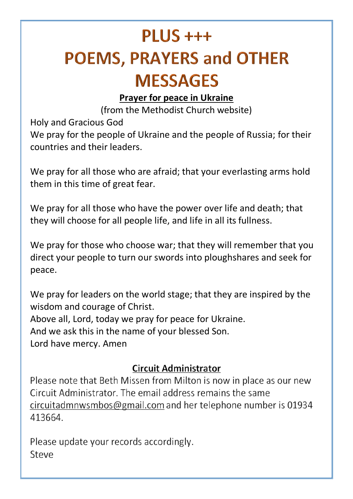## $PI  $US +++$$ **POEMS, PRAYERS and OTHER MESSAGES**

#### **Prayer for peace in Ukraine**

(from the Methodist Church website)

Holy and Gracious God

We pray for the people of Ukraine and the people of Russia; for their countries and their leaders.

We pray for all those who are afraid; that your everlasting arms hold them in this time of great fear.

We pray for all those who have the power over life and death; that they will choose for all people life, and life in all its fullness.

We pray for those who choose war; that they will remember that you direct your people to turn our swords into ploughshares and seek for peace.

We pray for leaders on the world stage; that they are inspired by the wisdom and courage of Christ. Above all, Lord, today we pray for peace for Ukraine. And we ask this in the name of your blessed Son. Lord have mercy. Amen

### **Circuit Administrator**

Please note that Beth Missen from Milton is now in place as our new Circuit Administrator. The email address remains the same circuitadmnwsmbos@gmail.com and her telephone number is 01934 413664

Please update your records accordingly. Steve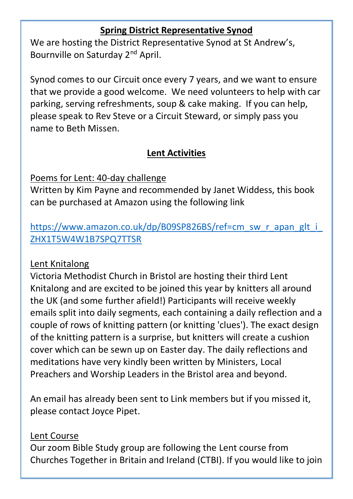#### **Spring District Representative Synod**

We are hosting the District Representative Synod at St Andrew's, Bournville on Saturday 2nd April.

Synod comes to our Circuit once every 7 years, and we want to ensure that we provide a good welcome. We need volunteers to help with car parking, serving refreshments, soup & cake making. If you can help, please speak to Rev Steve or a Circuit Steward, or simply pass you name to Beth Missen.

#### **Lent Activities**

Poems for Lent: 40-day challenge

Written by Kim Payne and recommended by Janet Widdess, this book can be purchased at Amazon using the following link

### [https://www.amazon.co.uk/dp/B09SP826BS/ref=cm\\_sw\\_r\\_apan\\_glt\\_i\\_](https://www.amazon.co.uk/dp/B09SP826BS/ref=cm_sw_r_apan_glt_i_ZHX1T5W4W1B7SPQ7TTSR) [ZHX1T5W4W1B7SPQ7TTSR](https://www.amazon.co.uk/dp/B09SP826BS/ref=cm_sw_r_apan_glt_i_ZHX1T5W4W1B7SPQ7TTSR)

#### Lent Knitalong

Victoria Methodist Church in Bristol are hosting their third Lent Knitalong and are excited to be joined this year by knitters all around the UK (and some further afield!) Participants will receive weekly emails split into daily segments, each containing a daily reflection and a couple of rows of knitting pattern (or knitting 'clues'). The exact design of the knitting pattern is a surprise, but knitters will create a cushion cover which can be sewn up on Easter day. The daily reflections and meditations have very kindly been written by Ministers, Local Preachers and Worship Leaders in the Bristol area and beyond.

An email has already been sent to Link members but if you missed it, please contact Joyce Pipet.

#### Lent Course

Our zoom Bible Study group are following the Lent course from Churches Together in Britain and Ireland (CTBI). If you would like to join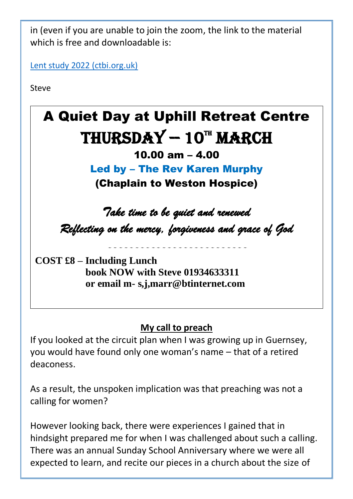in (even if you are unable to join the zoom, the link to the material which is free and downloadable is:

[Lent study 2022 \(ctbi.org.uk\)](https://ctbi.org.uk/lent-study-2022/)

Steve



### **My call to preach**

If you looked at the circuit plan when I was growing up in Guernsey, you would have found only one woman's name – that of a retired deaconess.

As a result, the unspoken implication was that preaching was not a calling for women?

However looking back, there were experiences I gained that in hindsight prepared me for when I was challenged about such a calling. There was an annual Sunday School Anniversary where we were all expected to learn, and recite our pieces in a church about the size of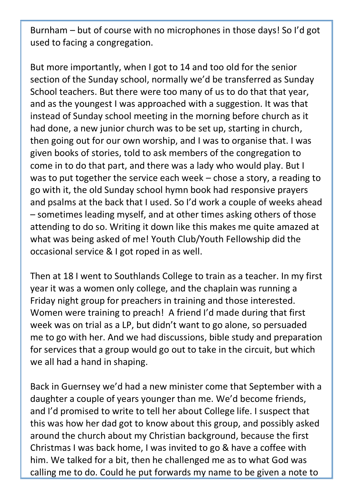Burnham – but of course with no microphones in those days! So I'd got used to facing a congregation.

But more importantly, when I got to 14 and too old for the senior section of the Sunday school, normally we'd be transferred as Sunday School teachers. But there were too many of us to do that that year, and as the youngest I was approached with a suggestion. It was that instead of Sunday school meeting in the morning before church as it had done, a new junior church was to be set up, starting in church, then going out for our own worship, and I was to organise that. I was given books of stories, told to ask members of the congregation to come in to do that part, and there was a lady who would play. But I was to put together the service each week – chose a story, a reading to go with it, the old Sunday school hymn book had responsive prayers and psalms at the back that I used. So I'd work a couple of weeks ahead – sometimes leading myself, and at other times asking others of those attending to do so. Writing it down like this makes me quite amazed at what was being asked of me! Youth Club/Youth Fellowship did the occasional service & I got roped in as well.

Then at 18 I went to Southlands College to train as a teacher. In my first year it was a women only college, and the chaplain was running a Friday night group for preachers in training and those interested. Women were training to preach! A friend I'd made during that first week was on trial as a LP, but didn't want to go alone, so persuaded me to go with her. And we had discussions, bible study and preparation for services that a group would go out to take in the circuit, but which we all had a hand in shaping.

Back in Guernsey we'd had a new minister come that September with a daughter a couple of years younger than me. We'd become friends, and I'd promised to write to tell her about College life. I suspect that this was how her dad got to know about this group, and possibly asked around the church about my Christian background, because the first Christmas I was back home, I was invited to go & have a coffee with him. We talked for a bit, then he challenged me as to what God was calling me to do. Could he put forwards my name to be given a note to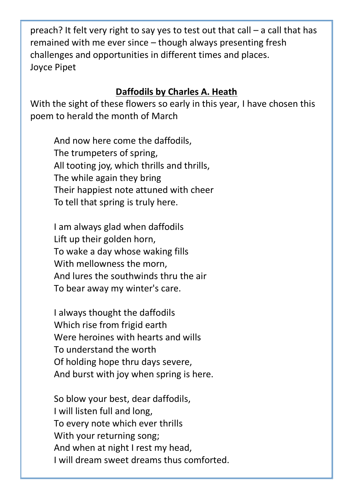preach? It felt very right to say yes to test out that call – a call that has remained with me ever since – though always presenting fresh challenges and opportunities in different times and places. Joyce Pipet

#### **Daffodils by Charles A. Heath**

With the sight of these flowers so early in this year, I have chosen this poem to herald the month of March

And now here come the daffodils, The trumpeters of spring, All tooting joy, which thrills and thrills, The while again they bring Their happiest note attuned with cheer To tell that spring is truly here.

I am always glad when daffodils Lift up their golden horn, To wake a day whose waking fills With mellowness the morn, And lures the southwinds thru the air To bear away my winter's care.

I always thought the daffodils Which rise from frigid earth Were heroines with hearts and wills To understand the worth Of holding hope thru days severe, And burst with joy when spring is here.

So blow your best, dear daffodils, I will listen full and long, To every note which ever thrills With your returning song; And when at night I rest my head, I will dream sweet dreams thus comforted.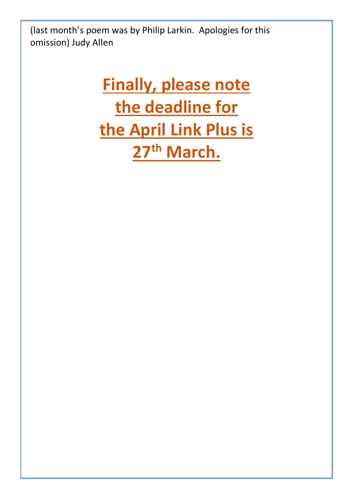(last month's poem was by Philip Larkin. Apologies for this omission) Judy Allen

## **Finally, please note the deadline for the April Link Plus is 27th March.**